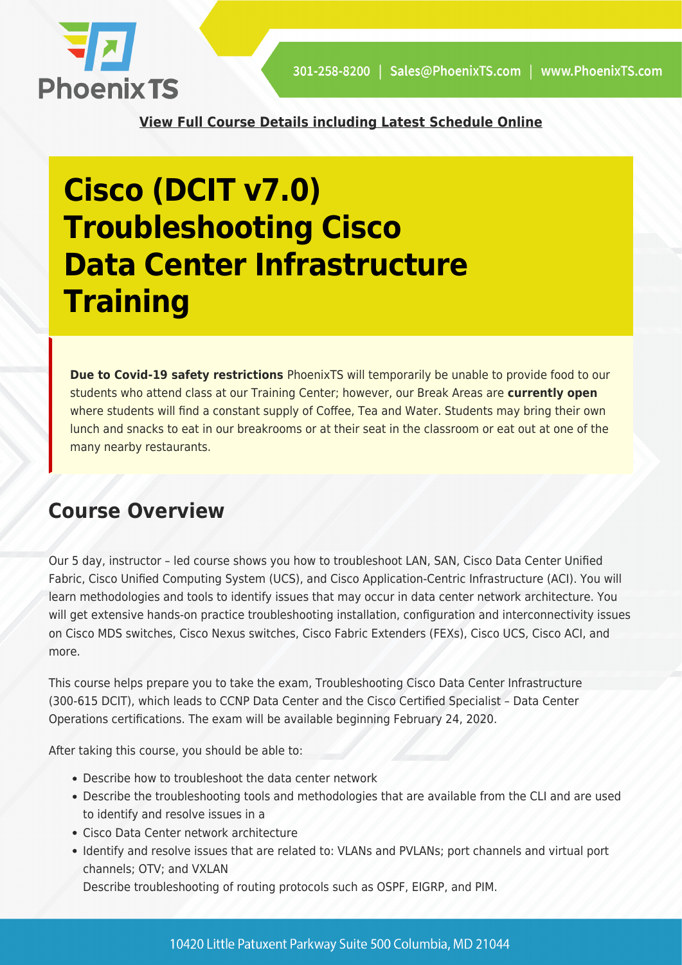

**[View Full Course Details including Latest Schedule Online](https://phoenixts.com/courses/cisco-dcit-v7-0-troubleshooting-cisco-data-center-infrastructure-training/)**

# **Cisco (DCIT v7.0) Troubleshooting Cisco Data Center Infrastructure Training**

**Due to Covid-19 safety restrictions** PhoenixTS will temporarily be unable to provide food to our students who attend class at our Training Center; however, our Break Areas are **currently open** where students will find a constant supply of Coffee, Tea and Water. Students may bring their own lunch and snacks to eat in our breakrooms or at their seat in the classroom or eat out at one of the many nearby restaurants.

# **Course Overview**

Our 5 day, instructor – led course shows you how to troubleshoot LAN, SAN, Cisco Data Center Unified Fabric, Cisco Unified Computing System (UCS), and Cisco Application-Centric Infrastructure (ACI). You will learn methodologies and tools to identify issues that may occur in data center network architecture. You will get extensive hands-on practice troubleshooting installation, configuration and interconnectivity issues on Cisco MDS switches, Cisco Nexus switches, Cisco Fabric Extenders (FEXs), Cisco UCS, Cisco ACI, and more.

This course helps prepare you to take the exam, Troubleshooting Cisco Data Center Infrastructure (300-615 DCIT), which leads to CCNP Data Center and the Cisco Certified Specialist – Data Center Operations certifications. The exam will be available beginning February 24, 2020.

After taking this course, you should be able to:

- Describe how to troubleshoot the data center network
- Describe the troubleshooting tools and methodologies that are available from the CLI and are used to identify and resolve issues in a
- Cisco Data Center network architecture
- Identify and resolve issues that are related to: VLANs and PVLANs; port channels and virtual port channels; OTV; and VXLAN

Describe troubleshooting of routing protocols such as OSPF, EIGRP, and PIM.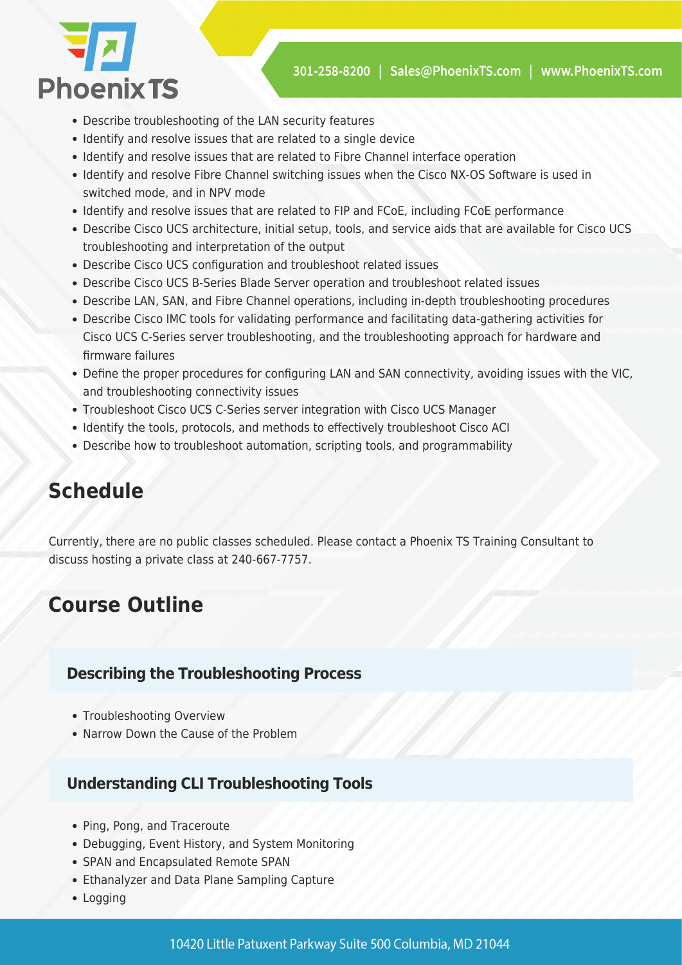

- Describe troubleshooting of the LAN security features
- Identify and resolve issues that are related to a single device
- Identify and resolve issues that are related to Fibre Channel interface operation
- Identify and resolve Fibre Channel switching issues when the Cisco NX-OS Software is used in switched mode, and in NPV mode
- Identify and resolve issues that are related to FIP and FCoE, including FCoE performance
- Describe Cisco UCS architecture, initial setup, tools, and service aids that are available for Cisco UCS troubleshooting and interpretation of the output
- Describe Cisco UCS configuration and troubleshoot related issues
- Describe Cisco UCS B-Series Blade Server operation and troubleshoot related issues
- Describe LAN, SAN, and Fibre Channel operations, including in-depth troubleshooting procedures
- Describe Cisco IMC tools for validating performance and facilitating data-gathering activities for Cisco UCS C-Series server troubleshooting, and the troubleshooting approach for hardware and firmware failures
- Define the proper procedures for configuring LAN and SAN connectivity, avoiding issues with the VIC, and troubleshooting connectivity issues
- Troubleshoot Cisco UCS C-Series server integration with Cisco UCS Manager
- Identify the tools, protocols, and methods to effectively troubleshoot Cisco ACI
- Describe how to troubleshoot automation, scripting tools, and programmability

# **Schedule**

Currently, there are no public classes scheduled. Please contact a Phoenix TS Training Consultant to discuss hosting a private class at 240-667-7757.

# **Course Outline**

#### **Describing the Troubleshooting Process**

- Troubleshooting Overview
- Narrow Down the Cause of the Problem

## **Understanding CLI Troubleshooting Tools**

- Ping, Pong, and Traceroute
- Debugging, Event History, and System Monitoring
- SPAN and Encapsulated Remote SPAN
- Ethanalyzer and Data Plane Sampling Capture
- Logging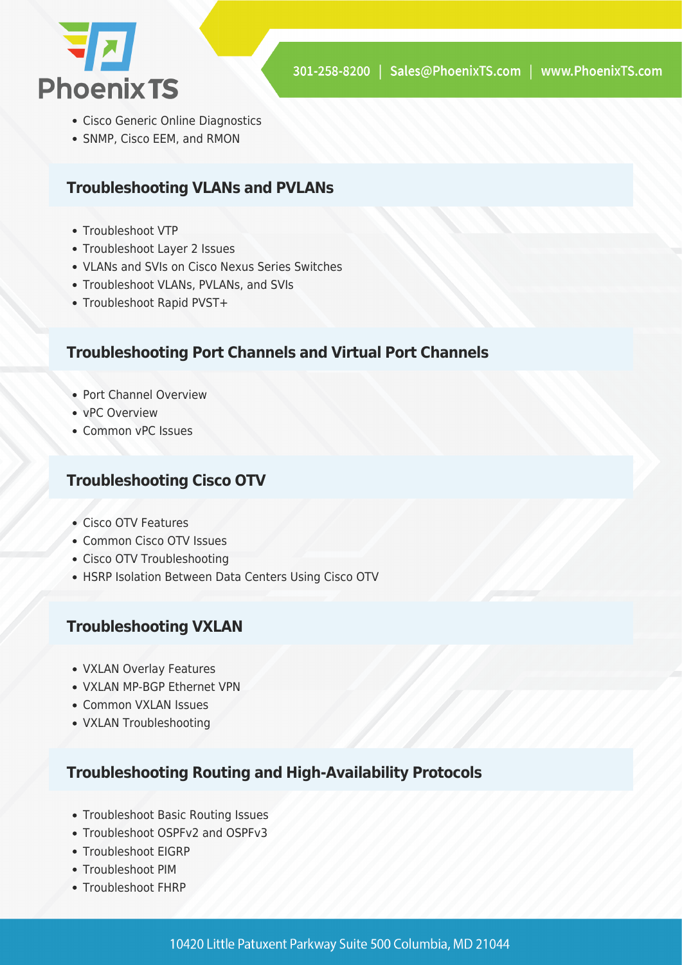

- Cisco Generic Online Diagnostics
- SNMP, Cisco EEM, and RMON

#### **Troubleshooting VLANs and PVLANs**

- Troubleshoot VTP
- Troubleshoot Layer 2 Issues
- VLANs and SVIs on Cisco Nexus Series Switches
- Troubleshoot VLANs, PVLANs, and SVIs
- Troubleshoot Rapid PVST+

#### **Troubleshooting Port Channels and Virtual Port Channels**

- Port Channel Overview
- vPC Overview
- Common vPC Issues

#### **Troubleshooting Cisco OTV**

- Cisco OTV Features
- Common Cisco OTV Issues
- Cisco OTV Troubleshooting
- HSRP Isolation Between Data Centers Using Cisco OTV

#### **Troubleshooting VXLAN**

- VXLAN Overlay Features
- VXLAN MP-BGP Ethernet VPN
- Common VXLAN Issues
- VXLAN Troubleshooting

#### **Troubleshooting Routing and High-Availability Protocols**

- Troubleshoot Basic Routing Issues
- Troubleshoot OSPFv2 and OSPFv3
- Troubleshoot EIGRP
- Troubleshoot PIM
- Troubleshoot FHRP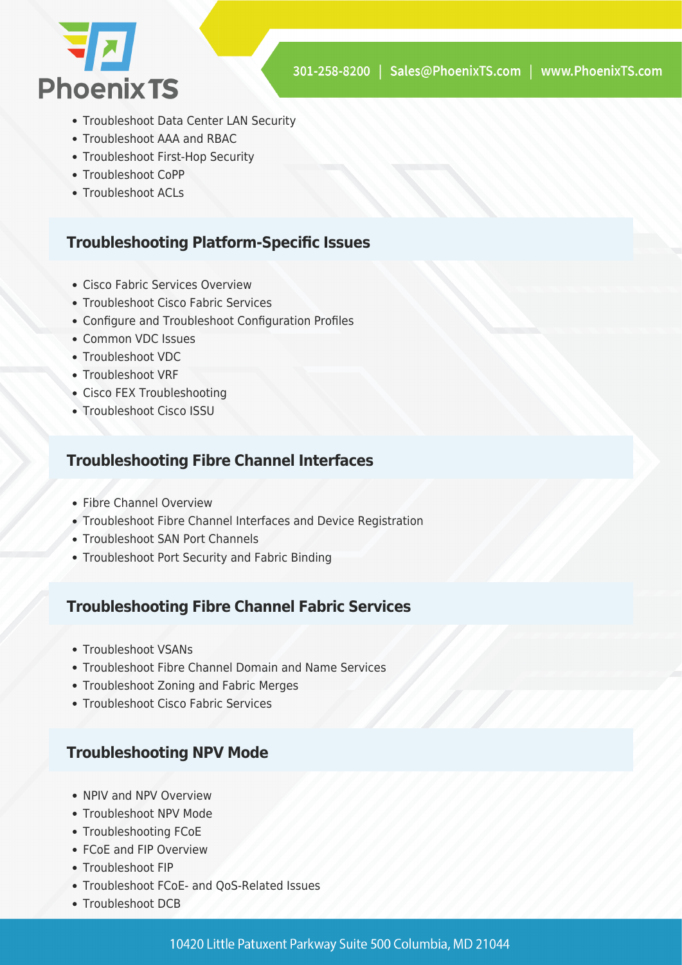

- Troubleshoot Data Center LAN Security
- Troubleshoot AAA and RBAC
- Troubleshoot First-Hop Security
- Troubleshoot CoPP
- Troubleshoot ACLs

#### **Troubleshooting Platform-Specific Issues**

- Cisco Fabric Services Overview
- Troubleshoot Cisco Fabric Services
- Configure and Troubleshoot Configuration Profiles
- Common VDC Issues
- Troubleshoot VDC
- Troubleshoot VRF
- Cisco FEX Troubleshooting
- Troubleshoot Cisco ISSU

## **Troubleshooting Fibre Channel Interfaces**

- Fibre Channel Overview
- Troubleshoot Fibre Channel Interfaces and Device Registration
- Troubleshoot SAN Port Channels
- Troubleshoot Port Security and Fabric Binding

## **Troubleshooting Fibre Channel Fabric Services**

- Troubleshoot VSANs
- Troubleshoot Fibre Channel Domain and Name Services
- Troubleshoot Zoning and Fabric Merges
- Troubleshoot Cisco Fabric Services

## **Troubleshooting NPV Mode**

- NPIV and NPV Overview
- Troubleshoot NPV Mode
- Troubleshooting FCoE
- FCoF and FIP Overview
- Troubleshoot FIP
- Troubleshoot FCoE- and QoS-Related Issues
- Troubleshoot DCB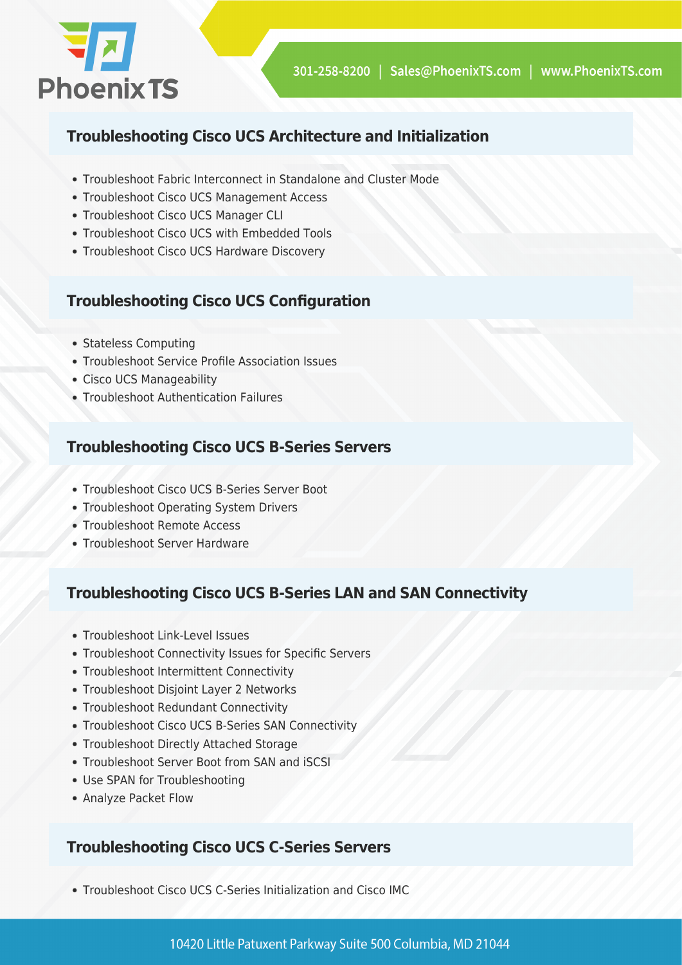

## **Troubleshooting Cisco UCS Architecture and Initialization**

- Troubleshoot Fabric Interconnect in Standalone and Cluster Mode
- Troubleshoot Cisco UCS Management Access
- Troubleshoot Cisco UCS Manager CLI
- Troubleshoot Cisco UCS with Embedded Tools
- Troubleshoot Cisco UCS Hardware Discovery

# **Troubleshooting Cisco UCS Configuration**

- Stateless Computing
- Troubleshoot Service Profile Association Issues
- Cisco UCS Manageability
- Troubleshoot Authentication Failures

## **Troubleshooting Cisco UCS B-Series Servers**

- Troubleshoot Cisco UCS B-Series Server Boot
- Troubleshoot Operating System Drivers
- Troubleshoot Remote Access
- Troubleshoot Server Hardware

## **Troubleshooting Cisco UCS B-Series LAN and SAN Connectivity**

- Troubleshoot Link-Level Issues
- Troubleshoot Connectivity Issues for Specific Servers
- Troubleshoot Intermittent Connectivity
- Troubleshoot Disjoint Layer 2 Networks
- Troubleshoot Redundant Connectivity
- Troubleshoot Cisco UCS B-Series SAN Connectivity
- Troubleshoot Directly Attached Storage
- Troubleshoot Server Boot from SAN and iSCSI
- Use SPAN for Troubleshooting
- Analyze Packet Flow

## **Troubleshooting Cisco UCS C-Series Servers**

Troubleshoot Cisco UCS C-Series Initialization and Cisco IMC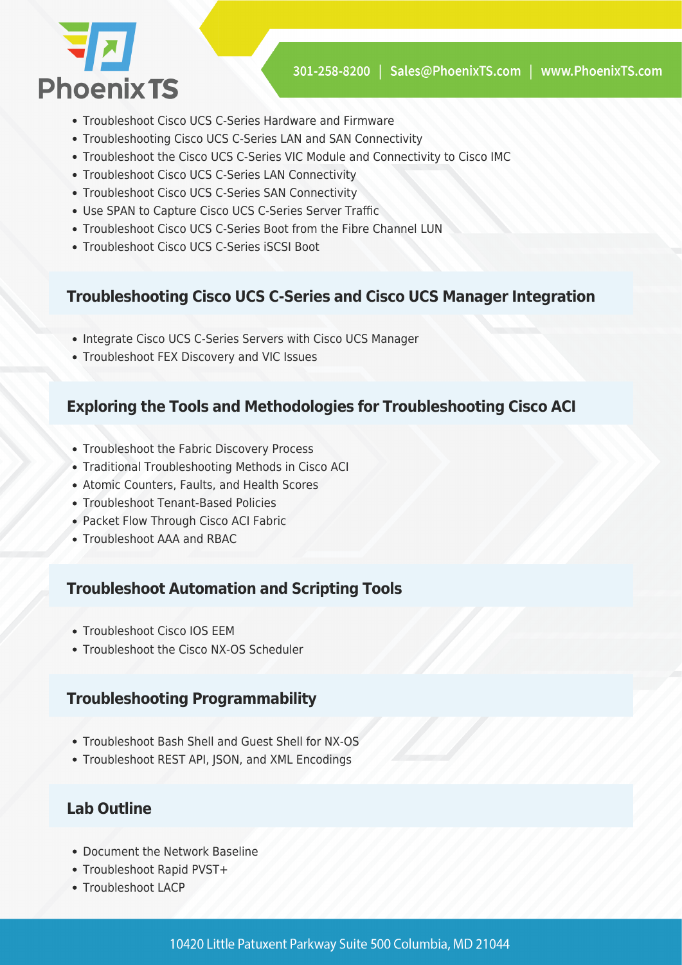

- Troubleshoot Cisco UCS C-Series Hardware and Firmware
- Troubleshooting Cisco UCS C-Series LAN and SAN Connectivity
- Troubleshoot the Cisco UCS C-Series VIC Module and Connectivity to Cisco IMC
- Troubleshoot Cisco UCS C-Series LAN Connectivity
- Troubleshoot Cisco UCS C-Series SAN Connectivity
- Use SPAN to Capture Cisco UCS C-Series Server Traffic
- Troubleshoot Cisco UCS C-Series Boot from the Fibre Channel LUN
- Troubleshoot Cisco UCS C-Series iSCSI Boot

#### **Troubleshooting Cisco UCS C-Series and Cisco UCS Manager Integration**

- Integrate Cisco UCS C-Series Servers with Cisco UCS Manager
- Troubleshoot FEX Discovery and VIC Issues

#### **Exploring the Tools and Methodologies for Troubleshooting Cisco ACI**

- Troubleshoot the Fabric Discovery Process
- Traditional Troubleshooting Methods in Cisco ACI
- Atomic Counters, Faults, and Health Scores
- Troubleshoot Tenant-Based Policies
- Packet Flow Through Cisco ACI Fabric
- Troubleshoot AAA and RBAC

#### **Troubleshoot Automation and Scripting Tools**

- Troubleshoot Cisco IOS EEM
- Troubleshoot the Cisco NX-OS Scheduler

#### **Troubleshooting Programmability**

- Troubleshoot Bash Shell and Guest Shell for NX-OS
- Troubleshoot REST API, JSON, and XML Encodings

#### **Lab Outline**

- Document the Network Baseline
- Troubleshoot Rapid PVST+
- Troubleshoot LACP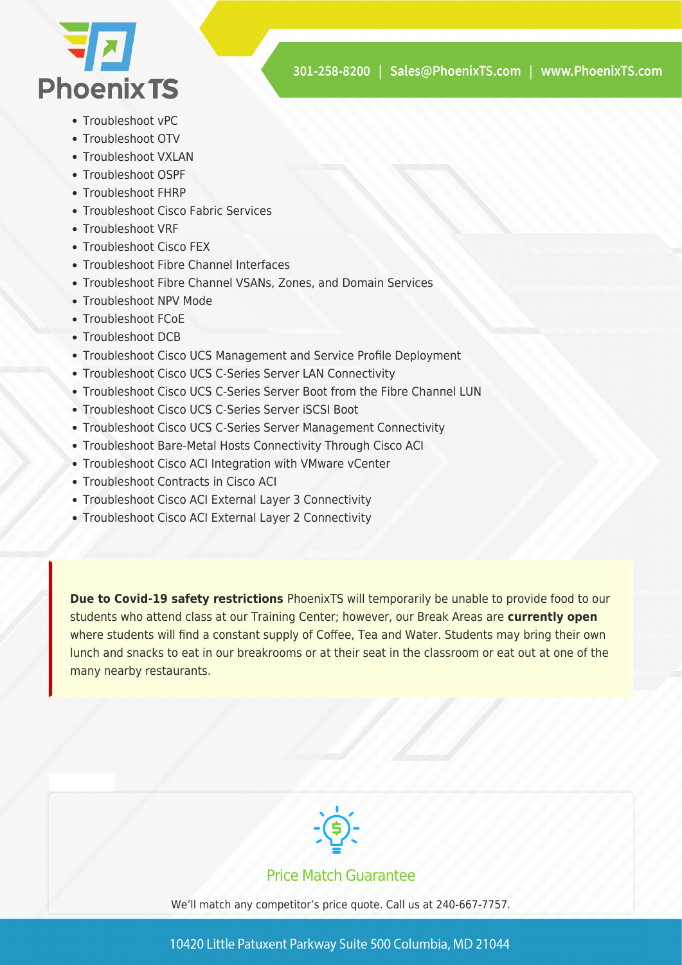

- Troubleshoot vPC
- Troubleshoot OTV
- Troubleshoot VXLAN
- Troubleshoot OSPF
- Troubleshoot FHRP
- Troubleshoot Cisco Fabric Services
- Troubleshoot VRF
- Troubleshoot Cisco FEX
- Troubleshoot Fibre Channel Interfaces
- Troubleshoot Fibre Channel VSANs, Zones, and Domain Services
- Troubleshoot NPV Mode
- Troubleshoot FCoE
- Troubleshoot DCB
- Troubleshoot Cisco UCS Management and Service Profile Deployment
- Troubleshoot Cisco UCS C-Series Server LAN Connectivity
- Troubleshoot Cisco UCS C-Series Server Boot from the Fibre Channel LUN
- Troubleshoot Cisco UCS C-Series Server iSCSI Boot
- Troubleshoot Cisco UCS C-Series Server Management Connectivity
- Troubleshoot Bare-Metal Hosts Connectivity Through Cisco ACI
- Troubleshoot Cisco ACI Integration with VMware vCenter
- Troubleshoot Contracts in Cisco ACI
- Troubleshoot Cisco ACI External Layer 3 Connectivity
- Troubleshoot Cisco ACI External Layer 2 Connectivity

**Due to Covid-19 safety restrictions** PhoenixTS will temporarily be unable to provide food to our students who attend class at our Training Center; however, our Break Areas are **currently open** where students will find a constant supply of Coffee, Tea and Water. Students may bring their own lunch and snacks to eat in our breakrooms or at their seat in the classroom or eat out at one of the many nearby restaurants.



#### Price Match Guarantee

We'll match any competitor's price quote. Call us at 240-667-7757.

10420 Little Patuxent Parkway Suite 500 Columbia, MD 21044